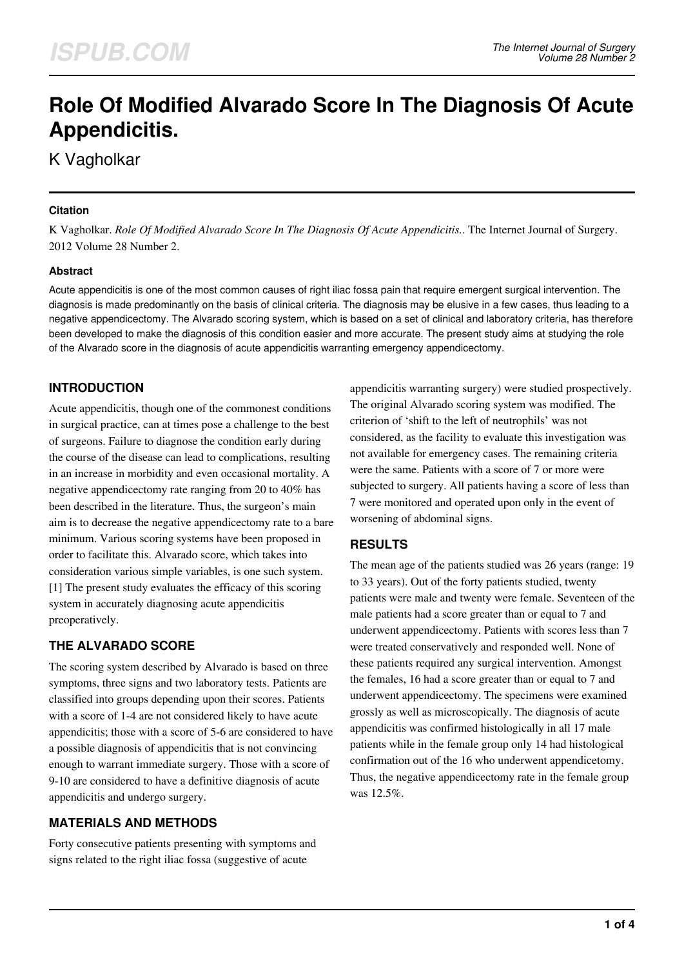# **Role Of Modified Alvarado Score In The Diagnosis Of Acute Appendicitis.**

K Vagholkar

### **Citation**

K Vagholkar. *Role Of Modified Alvarado Score In The Diagnosis Of Acute Appendicitis.*. The Internet Journal of Surgery. 2012 Volume 28 Number 2.

### **Abstract**

Acute appendicitis is one of the most common causes of right iliac fossa pain that require emergent surgical intervention. The diagnosis is made predominantly on the basis of clinical criteria. The diagnosis may be elusive in a few cases, thus leading to a negative appendicectomy. The Alvarado scoring system, which is based on a set of clinical and laboratory criteria, has therefore been developed to make the diagnosis of this condition easier and more accurate. The present study aims at studying the role of the Alvarado score in the diagnosis of acute appendicitis warranting emergency appendicectomy.

# **INTRODUCTION**

Acute appendicitis, though one of the commonest conditions in surgical practice, can at times pose a challenge to the best of surgeons. Failure to diagnose the condition early during the course of the disease can lead to complications, resulting in an increase in morbidity and even occasional mortality. A negative appendicectomy rate ranging from 20 to 40% has been described in the literature. Thus, the surgeon's main aim is to decrease the negative appendicectomy rate to a bare minimum. Various scoring systems have been proposed in order to facilitate this. Alvarado score, which takes into consideration various simple variables, is one such system. [1] The present study evaluates the efficacy of this scoring system in accurately diagnosing acute appendicitis preoperatively.

# **THE ALVARADO SCORE**

The scoring system described by Alvarado is based on three symptoms, three signs and two laboratory tests. Patients are classified into groups depending upon their scores. Patients with a score of 1-4 are not considered likely to have acute appendicitis; those with a score of 5-6 are considered to have a possible diagnosis of appendicitis that is not convincing enough to warrant immediate surgery. Those with a score of 9-10 are considered to have a definitive diagnosis of acute appendicitis and undergo surgery.

## **MATERIALS AND METHODS**

Forty consecutive patients presenting with symptoms and signs related to the right iliac fossa (suggestive of acute

appendicitis warranting surgery) were studied prospectively. The original Alvarado scoring system was modified. The criterion of 'shift to the left of neutrophils' was not considered, as the facility to evaluate this investigation was not available for emergency cases. The remaining criteria were the same. Patients with a score of 7 or more were subjected to surgery. All patients having a score of less than 7 were monitored and operated upon only in the event of worsening of abdominal signs.

# **RESULTS**

The mean age of the patients studied was 26 years (range: 19 to 33 years). Out of the forty patients studied, twenty patients were male and twenty were female. Seventeen of the male patients had a score greater than or equal to 7 and underwent appendicectomy. Patients with scores less than 7 were treated conservatively and responded well. None of these patients required any surgical intervention. Amongst the females, 16 had a score greater than or equal to 7 and underwent appendicectomy. The specimens were examined grossly as well as microscopically. The diagnosis of acute appendicitis was confirmed histologically in all 17 male patients while in the female group only 14 had histological confirmation out of the 16 who underwent appendicetomy. Thus, the negative appendicectomy rate in the female group was 12.5%.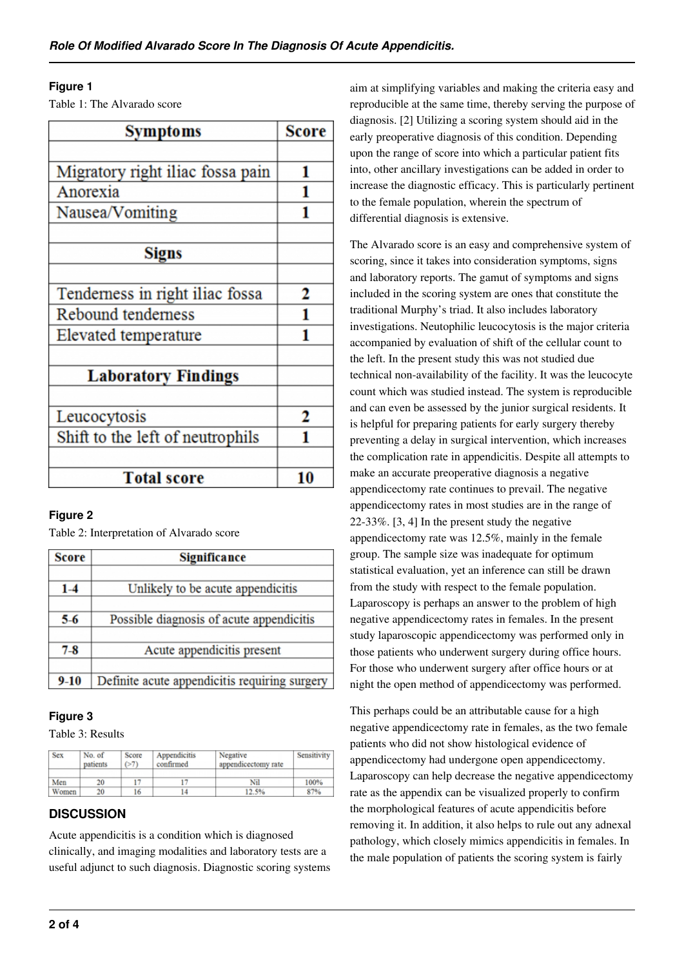### **Figure 1**

Table 1: The Alvarado score

| <b>Symptoms</b>                  | Score |
|----------------------------------|-------|
|                                  |       |
| Migratory right iliac fossa pain | 1     |
| Anorexia                         | 1     |
| Nausea/Vomiting                  |       |
|                                  |       |
| <b>Signs</b>                     |       |
|                                  |       |
| Tenderness in right iliac fossa  | 2     |
| Rebound tenderness               |       |
| Elevated temperature             |       |
|                                  |       |
| <b>Laboratory Findings</b>       |       |
|                                  |       |
| Leucocytosis                     | 2     |
| Shift to the left of neutrophils |       |
|                                  |       |
| <b>Total score</b>               | 10    |

## **Figure 2**

Table 2: Interpretation of Alvarado score

| <b>Score</b> | <b>Significance</b>                           |  |  |  |  |
|--------------|-----------------------------------------------|--|--|--|--|
| $1-4$        | Unlikely to be acute appendicitis             |  |  |  |  |
| $5-6$        | Possible diagnosis of acute appendicitis      |  |  |  |  |
| $7-8$        | Acute appendicitis present                    |  |  |  |  |
| $9 - 10$     | Definite acute appendicitis requiring surgery |  |  |  |  |

#### **Figure 3**

Table 3: Results

| <b>Sex</b> | No. of<br>patients | Score<br>(27) | Appendicitis<br>confirmed | Negative<br>appendicectomy rate | Sensitivity |
|------------|--------------------|---------------|---------------------------|---------------------------------|-------------|
| Men        | 20                 |               |                           | Nil                             | 100%        |
| Women      | 20                 | 16            |                           | 12.5%                           | 87%         |

## **DISCUSSION**

Acute appendicitis is a condition which is diagnosed clinically, and imaging modalities and laboratory tests are a useful adjunct to such diagnosis. Diagnostic scoring systems aim at simplifying variables and making the criteria easy and reproducible at the same time, thereby serving the purpose of diagnosis. [2] Utilizing a scoring system should aid in the early preoperative diagnosis of this condition. Depending upon the range of score into which a particular patient fits into, other ancillary investigations can be added in order to increase the diagnostic efficacy. This is particularly pertinent to the female population, wherein the spectrum of differential diagnosis is extensive.

The Alvarado score is an easy and comprehensive system of scoring, since it takes into consideration symptoms, signs and laboratory reports. The gamut of symptoms and signs included in the scoring system are ones that constitute the traditional Murphy's triad. It also includes laboratory investigations. Neutophilic leucocytosis is the major criteria accompanied by evaluation of shift of the cellular count to the left. In the present study this was not studied due technical non-availability of the facility. It was the leucocyte count which was studied instead. The system is reproducible and can even be assessed by the junior surgical residents. It is helpful for preparing patients for early surgery thereby preventing a delay in surgical intervention, which increases the complication rate in appendicitis. Despite all attempts to make an accurate preoperative diagnosis a negative appendicectomy rate continues to prevail. The negative appendicectomy rates in most studies are in the range of 22-33%. [3, 4] In the present study the negative appendicectomy rate was 12.5%, mainly in the female group. The sample size was inadequate for optimum statistical evaluation, yet an inference can still be drawn from the study with respect to the female population. Laparoscopy is perhaps an answer to the problem of high negative appendicectomy rates in females. In the present study laparoscopic appendicectomy was performed only in those patients who underwent surgery during office hours. For those who underwent surgery after office hours or at night the open method of appendicectomy was performed.

This perhaps could be an attributable cause for a high negative appendicectomy rate in females, as the two female patients who did not show histological evidence of appendicectomy had undergone open appendicectomy. Laparoscopy can help decrease the negative appendicectomy rate as the appendix can be visualized properly to confirm the morphological features of acute appendicitis before removing it. In addition, it also helps to rule out any adnexal pathology, which closely mimics appendicitis in females. In the male population of patients the scoring system is fairly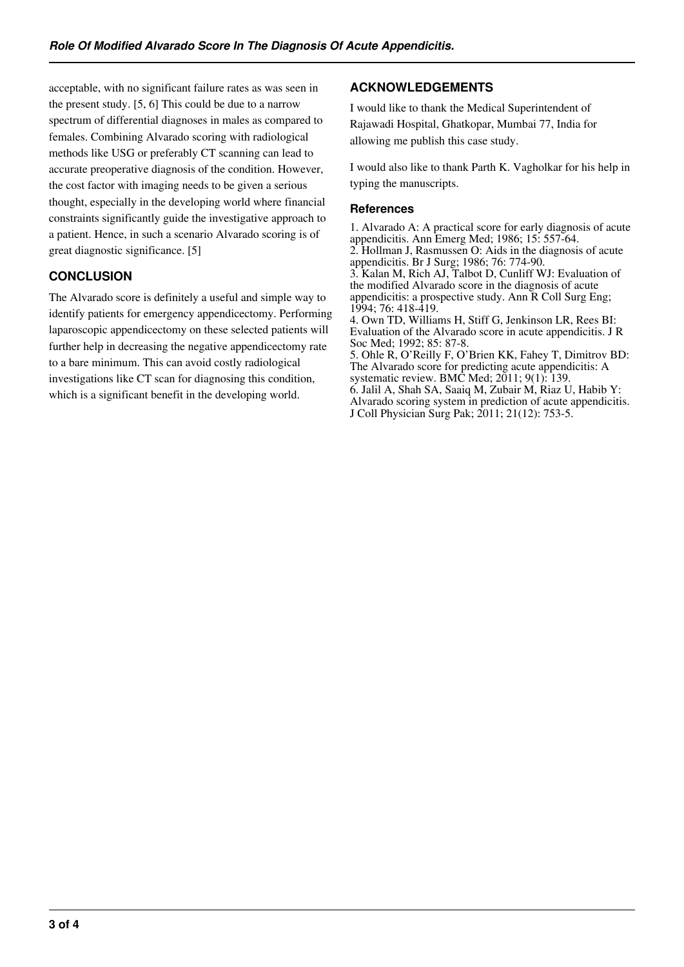acceptable, with no significant failure rates as was seen in the present study. [5, 6] This could be due to a narrow spectrum of differential diagnoses in males as compared to females. Combining Alvarado scoring with radiological methods like USG or preferably CT scanning can lead to accurate preoperative diagnosis of the condition. However, the cost factor with imaging needs to be given a serious thought, especially in the developing world where financial constraints significantly guide the investigative approach to a patient. Hence, in such a scenario Alvarado scoring is of great diagnostic significance. [5]

# **CONCLUSION**

The Alvarado score is definitely a useful and simple way to identify patients for emergency appendicectomy. Performing laparoscopic appendicectomy on these selected patients will further help in decreasing the negative appendicectomy rate to a bare minimum. This can avoid costly radiological investigations like CT scan for diagnosing this condition, which is a significant benefit in the developing world.

# **ACKNOWLEDGEMENTS**

I would like to thank the Medical Superintendent of Rajawadi Hospital, Ghatkopar, Mumbai 77, India for allowing me publish this case study.

I would also like to thank Parth K. Vagholkar for his help in typing the manuscripts.

#### **References**

1. Alvarado A: A practical score for early diagnosis of acute appendicitis. Ann Emerg Med; 1986; 15: 557-64. 2. Hollman J, Rasmussen O: Aids in the diagnosis of acute appendicitis. Br J Surg; 1986; 76: 774-90. 3. Kalan M, Rich AJ, Talbot D, Cunliff WJ: Evaluation of the modified Alvarado score in the diagnosis of acute appendicitis: a prospective study. Ann R Coll Surg Eng; 1994; 76: 418-419. 4. Own TD, Williams H, Stiff G, Jenkinson LR, Rees BI: Evaluation of the Alvarado score in acute appendicitis. J R Soc Med; 1992; 85: 87-8. 5. Ohle R, O'Reilly F, O'Brien KK, Fahey T, Dimitrov BD: The Alvarado score for predicting acute appendicitis: A

systematic review. BMC Med; 2011; 9(1): 139. 6. Jalil A, Shah SA, Saaiq M, Zubair M, Riaz U, Habib Y: Alvarado scoring system in prediction of acute appendicitis. J Coll Physician Surg Pak; 2011; 21(12): 753-5.